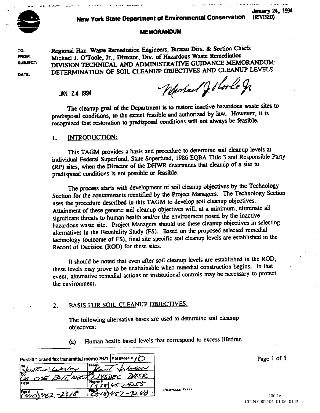

# New York State Department of Environmental Conservation (REVISED)

## MEMORANDUM

TO: Regional Haz. Waste Remediation Engineers, Bureau Dirs. & Section Chiefs FROM: Michael J. O'Toole, Jr., Director, Div. of Hazardous Waste Remediation<br>SUBJECT: DRUGION TECTURICAL AND ADMINISTRATIVE GUIDANCE MEM DIVISION TECHNICAL AND ADMINISTRATIVE GUIDANCE MEMORANDUM:

JAN 24 1994

DATE: DETERMINATION OF SOIL CLEANUP OBJECTIVES AND CLEANUP LEVELS<br>JAN 24 1994

The cleanup goal of the Department is to restore inactive hazardous waste sites to predisposal conditions, to the extent feasible and authorized by law. However, it is recognized that restoration to predisposal conditions will not always be feasible

#### INTRODUCTION: 1.

This TAGM provides a basis and procedure to determine soil cleanup levels at individual Federal Superfund, State Superfund, 1986 EQBA Title 3 and Responsible Party (RP) sites, when the Director of the DHWR determines that cleanup of a site to predisposal conditions is not possible or feasible

The process starts with development of soil cleanup objectives by the Technology Section for the contaminants identified by the Project Managers. The Technology Section uses the procedure described in this TAGM to develop soil cleanup objectives Attainment of these generic soil cleanup objectives will, at a minimum, eliminate all significant threats to human health and/or the environment posed by the inactive hazardous waste site. Project Managers should use these cleanup objectives in selecting alternatives in the Feasibility Study (FS). Based on the proposed selected remedial technology (outcome of FS), final site specific soil cleanup levels are established in the Record of Decision (ROD) for these sites.

It should be noted that even after soil cleanup levels are established in the ROD these levels may prove to be unattainable when remedial construction begins. In that event, alternative remedial actions or institutional controls may be necessary to protect the environment

#### BASIS FOR SOIL CLEANUP OBJECTIVES:  $2<sub>1</sub>$

The following alternative bases are used to determine soil cleanup objectives

Human health based levels that correspond to excess lifetime  $(a)$ 

| Post-It <sup>*</sup> brand fax transmittal memo 7671   # of pages $\sqrt{C}$ | Page 1 of |
|------------------------------------------------------------------------------|-----------|
| i From .<br>ITO.<br><b>LANSON</b><br>Susting Library<br>Kirvi                |           |
| rc.<br>MSR<br><u> JYSDEC</u><br>COE POTT DISTRA                              |           |
| IPhone #<br>$45 - 9255$<br>Dept.                                             |           |
| <b>I RECYCLED PAPER</b><br>$-92,40$<br>$(4/0)$ 952-2316                      | 200.1e    |

200.1e<br>C02NY002504\_01.06\_0142\_a

**January 24, 1994**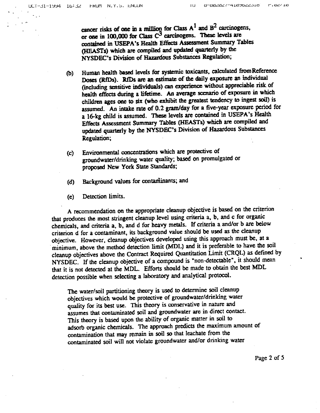cancer risks of one in a million for Class  $A<sup>1</sup>$  and  $B<sup>2</sup>$  carcinogens. or one in 100,000 for Class  $C<sup>3</sup>$  carcinogens. These levels are contained in USEPA's Health Effects Assessment Summary Tables (HEASTs) which are compiled and updated quarterly by the NYSDEC's Division of Hazardous Substances Regulation;

- Human health based levels for systemic toxicants, calculated from Reference  $\mathbf{b}$ Doses (RfDs). RfDs are an estimate of the daily exposure an individual (including sensitive individuals) can experience without appreciable risk of health effects during a lifetime. An average scenario of exposure in which children ages one to six (who exhibit the greatest tendency to ingest soil) is assumed. An intake rate of 0.2 gram/day for a five-year exposure period for a 16-kg child is assumed. These levels are contained in USEPA's Health Effects Assessment Summary Tables (HEASTs) which are compiled and updated quarterly by the NYSDEC's Division of Hazardous Substances Regulation
- Environmental concentrations which are protective of  $(c)$ groundwater/drinking water quality; based on promulgated or proposed New York State Standards
- Background values for contaminants; and  $(d)$
- Detection limits.  $(e)$

recommendation on the appropriate cleanup objective is based on the criterion that produces the most stringent cleanup level using criteria a, b, and c for organic chemicals, and criteria a, b, and d for heavy metals. If criteria a and/or b are below criterion d for a contaminant, its background value should be used as the cleanup objective. However, cleanup objectives developed using this approach must be, at a minimum, above the method detection limit (MDL) and it is preferable to have the soil cleanup objectives above the Contract Required Quantitation Limit (CRQL) as defined by NYSDEC. If the cleanup objective of a compound is "non-detectable", it should mean that it is not detected at the MDL. Efforts should be made to obtain the best MDL detection possible when selecting a laboratory and analytical protocol.

The water/soil partitioning theory is used to determine soil cleanup objectives which would be protective of groundwater/drinking water quality for its best use. This theory is conservative in nature and assumes that contaminated soil and groundwater are in direct contact This theory is based upon the ability of organic matter in soil to adsorb organic chemicals. The approach predicts the maximum amount of contamination that may remain in soil so that leachate from the contaminated soil will not violate groundwater and/or drinking water

Page 2 of  $5$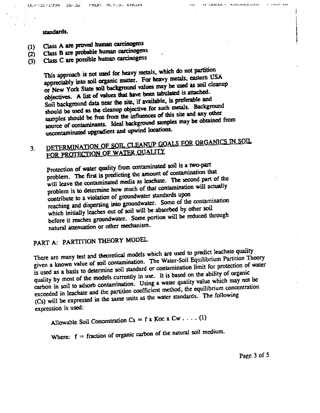## standards

- Class are proved human carcinogens  $(1)$
- Class B are probable human carcinogens  $(2)$
- Class C are possible human carcinogens  $(3)$

This approach is not used for heavy metals, which do not partition appreciably into soil organic matter. For heavy metals, eastern USA or New York State soil background values may be used as soil cleanup objectives. A list of values that have been tabulated is attached. Soil background data near the site, if available, is preferable and should be used as the cleanup objective for such metals. Background samples should be free from the influences of this site and any other source of contaminants. Ideal background samples may be obtained from uncontaminated upgradient and upwind locations.

# DETERMINATION OF SOIL CLEANUP GOALS FOR ORGANICS IN SOIL  $3.$ FOR PROTECTION OF WATER OUALITY

Protection of water quality from contaminated soil is a two-part problem. The first is predicting the amount of contamination that will leave the contaminated media as leachate. The second part of the problem is to determine how much of that contamination will actually contribute to a violation of groundwater standards upon reaching and dispersing into groundwater. Some of the contamination which initially leaches out of soil will be absorbed by other soil before it reaches groundwater. Some portion will be reduced through natural attenuation or other mechanism

# PART A: PARTITION THEORY MODEL

There are many test and theoretical models which are used to predict leachate quality given a known value of soil contamination. The Water-Soil Equilibrium Partition Theory is used as a basis to determine soil standard or contamination limit for protection of water quality by most of the models currently in use. It is based on the ability of organic carbon in soil to adsorb contamination. Using a water quality value which may not be exceeded in leachate and the partition coefficient method, the equilibrium concentration (Cs) will be expressed in the same units as the water standards. The following expression is used

Allowable Soil Concentration  $Cs = f x Koc x Cw \dots (1)$ 

Where:  $f =$  fraction of organic carbon of the natural soil medium.

Page 3 of 5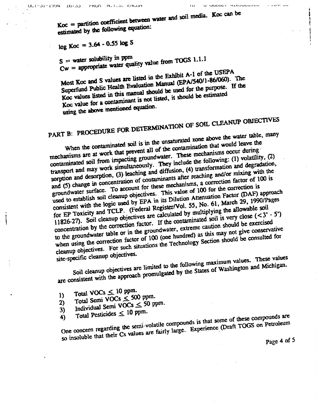$\overline{1}$ 

U UDCOCI HIDJULLUIU

 $Koc =$  partition coefficient between water and soil media. Koc can be estimated by the following equation:

# $log Koc = 3.64 - 0.55 log S$

 $S =$  water solubility in ppm  $Cw =$  appropriate water quality value from TOGS 1.1.1

Most Koc and S values are listed in the Exhibit A-1 of the USEPA Superfund Public Health Evaluation Manual (EPA/540/1-86/060). The Koc values listed in this manual should be used for the purpose. If the Koc value for a contaminant is not listed, it should be estimated using the above mentioned equation.

# PART B: PROCEDURE FOR DETERMINATION OF SOIL CLEANUP OBJECTIVES

When the contaminated soil is in the unsaturated zone above the water table, many mechanisms are at work that prevent all of the contamination that would leave the contaminated soil from impacting groundwater. These mechanisms occur during transport and may work simultaneously. They include the following: (1) volatility, (2) sorption and desorption, (3) leaching and diffusion, (4) transformation and degradation, and (5) change in concentration of contaminants after reaching and/or mixing with the groundwater surface. To account for these mechanisms, a correction factor of 100 is used to establish soil cleanup objectives. This value of 100 for the correction is consistent with the logic used by EPA in its Dilution Attenuation Factor (DAF) approach for EP Toxicity and TCLP. (Federal Register/Vol. 55, No. 61, March 29, 1990/Pages 11826-27). Soil cleanup objectives are calculated by multiplying the allowable soil concentration by the correction factor. If the contaminated soil is very close  $( $3' - 5'$ )$ to the groundwater table or in the groundwater, extreme caution should be exercised when using the correction factor of 100 (one hundred) as this may not give conservative cleanup objectives. For such situations the Technology Section should be consulted for site-specific cleanup objectives.

Soil cleanup objectives are limited to the following maximum values. These values are consistent with the approach promulgated by the States of Washington and Michigan.

- Total VOCs  $\leq$  10 ppm.
- Total Semi VOCs < 500 ppm.  $\bf{D}$
- Individual Semi VOCs  $\leq$  50 ppm.  $2)$
- $3)$ Total Pesticides  $\leq 10$  ppm.

One concern regarding the semi-volatile compounds is that some of these compounds are  $4)$ so insoluble that their Cs values are fairly large. Experience (Draft TOGS on Petroleum

Page 4 of 5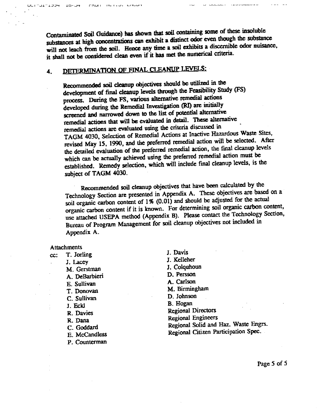Contaminated Soil Guidance) has shown that soil containing some of these insoluble substances at high concentrations can exhibit a distinct odor even though the substance will not leach from the soil. Hence any time a soil exhibits a discernible odor nuisance, it shall not be considered clean even if it has met the numerical criteria

### DETERMINATION OF FINAL CLEANUP LEVELS: 4.

 $L$ -i i de ja korralı i un endisi

Recommended soil cleanup objectives should be utilized in the development of final cleanup levels through the Feasibility Study (FS) process. During the FS, various alternative remedial actions developed during the Remedial Investigation (RI) are initially screened and narrowed down to the list of potential alternative remedial actions that will be evaluated in detail. These alternative remedial actions arc evaluated using the criteria discussed in TAGM 4030, Selection of Remedial Actions at Inactive Hazardous Waste Sites, revised May 15, 1990, and the preferred remedial action will be selected. After the detailed evaluation of the preferred remedial action, the final cleanup levels which can be actually achieved using the preferred remedial action must be established. Remedy selection, which will include final cleanup levels, is the subject of TAGM 4030.

Recommended soil cleanup objectives that have been calculated by the Technology Section are presented in Appendix A. These objectives are based on a soil organic carbon content of  $1\%$  (0.01) and should be adjusted for the actual organic carbon content if it is known. For determining soil organic carbon content, use attached USEPA method (Appendix B). Please contact the Technology Section, Bureau of Program Management for soil cleanup objectives not included in Appendix A.

## **Attachments**

 $cc:$  T. Jorling J. Lacey<br>
Lacey<br>
Lacey<br>
Lacey<br>
Lacey<br>
Lacey<br>
Lacey<br>
Lacey<br>
Lacey<br>
Lacey<br>
Lacey<br>
Lacey<br>
Lacey<br>
Lacey<br>
Lacey<br>
Lacey<br>
Lacey<br>
Lacey<br>
Lacey<br>
Lacey<br>
Lacey<br>
Lacey<br>
Lacey<br>
Lacey<br>
Lacey<br>
Lacey<br>
Lacey<br>
Lacey<br>
Lacey<br>
Lacey<br>
Lacey<br>
La M. Gerstman A. DeBarbieri Persson E. Sullivan A. Carlson T. Donovan M. Birmingham C. Sullivan D. Johnson J. Eckl B. Hogan R. Davies Regional Directors P. Counterman

J. Davis R. Dana Regional Engineers Goddard Regional Solid and Haz Waste Engrs McCandless Regional Citizen Participation Spec.

Page 5 of 5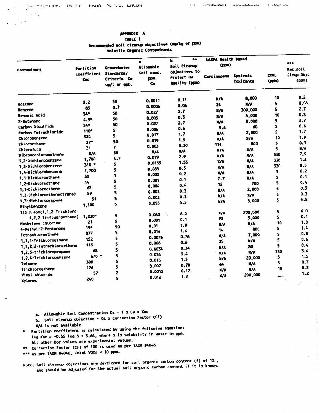$\mathbf{u}$ 

## APPENDIX A TABLE 1

Recommended soil clearap objectives (mg/kg or ppm)

Volatile Organic Contaminants

|                            |                                        |                                                                 |                                       | $^{\bullet\bullet}$<br>ь                                     | <b>USEPA Health Besed</b> |                              |                      |                                          |
|----------------------------|----------------------------------------|-----------------------------------------------------------------|---------------------------------------|--------------------------------------------------------------|---------------------------|------------------------------|----------------------|------------------------------------------|
| Contaminant                | Partition<br>coefficient<br><b>Koc</b> | <b>Groundwater</b><br>Standards/<br>Criteria CV<br>ug/l or ppb. | Attowable<br>Soil cand.<br>ppm.<br>Cs | Soil Clearup<br>objectives to<br>Protect GM<br>Quality (ppm) | (m)<br><b>Carcinogens</b> | Systemic<br><b>Toxicants</b> | <b>CRQL</b><br>(qpb) | ees.<br>Rec.soil<br>Cirup Dbjc:<br>(pcm) |
|                            |                                        | 50                                                              | 0.0011                                | 0.11                                                         | K/A                       | 8,000                        | 10                   | 0.2                                      |
| <b>Acetone</b>             | 2.2                                    | 0.7                                                             | 0.0006                                | 0.06                                                         | 24                        | M/A                          | 5                    | 0.06                                     |
| <b>Benzene</b>             | 83                                     |                                                                 | 0.027                                 | 2.7                                                          | <b>K/A</b>                | 300,000                      | 5                    | 2.7                                      |
| Benzoic Acid               | 54*                                    | 50                                                              | 0.003                                 | 0.3                                                          | N/A                       | 4,000                        | 10                   | 0.3                                      |
| <b>Z-Butanone</b>          | $4.5*$                                 | 50                                                              | 0.027                                 | 2.7                                                          | <b>N/A</b>                | 8,000                        | 5                    | 2.7                                      |
| Carbon Disulfide           | 54*                                    | 50                                                              | 0.006                                 | 0.6                                                          | 5,4                       | 60                           | 5                    | 0.6                                      |
| Carbon Tetrachloride       | 110*                                   | \$.                                                             | 0.017                                 | 1.7                                                          | $\mathbf{H}/\mathbf{A}$   | 2,000                        | Ś.                   | 1.7                                      |
| Chlorobenzene              | 330                                    | 5.                                                              | 0.019                                 | 1.9                                                          | <b>N/A</b>                | <b>M/A</b>                   | 10                   | 1.9                                      |
| Chloroethane               | 37 <sup>o</sup>                        | 50                                                              | 0.003                                 | 0.30                                                         | 114                       | 600                          | 5                    | 0.3                                      |
| Chioraform                 | 31                                     | $\overline{r}$                                                  | N/A                                   | N/A                                                          | N/A                       | <b>H/A</b>                   | 5                    | N/A                                      |
| Dibromochloromethane       | N/A                                    | 50                                                              | 0.079                                 | 7.9                                                          | M/A                       | N/A                          | 330                  | 7.9                                      |
| 1.2-Dichlorobenzene        | 1,700                                  | 4.7                                                             |                                       | 1.55                                                         | K/A                       | N/A                          | 330                  | 1.6                                      |
| 1.3-Dichlorobenzene        | $310 -$                                | 5.                                                              | 0.0155                                | 8.5                                                          | N/A                       | N/A                          | 330                  | 8.5                                      |
| 1,4-Dichlorobenzene        | 1,700                                  | 5                                                               | 0.085                                 | 0.2                                                          | M/A                       | $\frac{M}{A}$                | 5                    | 0.2                                      |
| 1,1-Dichloroethane         | 30                                     | 5                                                               | 0.002                                 | 0.1                                                          | 7.7                       | N/A                          | 5                    | 0.1                                      |
| 1.2-Dichioroethane         | 14                                     | 5                                                               | 0.001                                 |                                                              | 12                        | 700                          | 5.                   | 0.4                                      |
| 1.1-Dichioroethene         | 65                                     | 5                                                               | 0.004                                 | 0.4                                                          | $\mathbf{H}/\mathbf{A}$   | 2,000                        | 5                    | 0.3                                      |
| 1,2-Dichloroethene(trans)  | 59                                     | 5                                                               | 0.003                                 | 0.3                                                          | $M_A$                     | N/A                          | 5                    | 0.3                                      |
| 1,3-dichtoropropane        | 51                                     | 5                                                               | 0.003                                 | 0.3                                                          | K/A                       | 8,000                        | 5                    | 5.5                                      |
| Ethylbenzene               | 1,100                                  | 5                                                               | 0.055                                 | 5.5                                                          |                           |                              |                      |                                          |
| 113 Freon(1,1,2 Trichtoro- |                                        |                                                                 |                                       |                                                              |                           | 200,000                      | 5                    | 6.0                                      |
| 1,2,2 Trif(uoroethane)     | 1,230*                                 | 5                                                               | 0.060                                 | 6.0                                                          | N/A                       | 5.000                        | 5                    | 0.1                                      |
| <b>Methylene</b> chloride  | 21                                     | 5                                                               | 0.001                                 | 0.1                                                          | 93                        | N/A                          | 10                   | 1.0                                      |
| 4-Nethyl-2-Pentanone       | $19 -$                                 | 50                                                              | 0.01                                  | 1.0                                                          | N/A                       | 800                          | 5                    | 1.4                                      |
| Tetrachloroethene          | 277                                    | 5.                                                              | 0.014                                 | 1.4                                                          | 14                        | 7,000                        | 5                    | 0.B                                      |
| 1,1,1-Trichloroethane      | 152                                    | 5                                                               | 0.0076                                | 0.76                                                         | $\mathbf{K}/\mathbf{A}$   |                              | S                    | 0.6                                      |
| 1.1.2.2-Tetrachloroethane  | 118                                    | 5                                                               | 0.006                                 | 0.6                                                          | 35                        | $N/\lambda$                  | 5                    | 0.4                                      |
|                            | 68                                     | 5                                                               | 0.0034                                | 0.34                                                         | W/A                       | 80                           | 330                  | 3.4                                      |
| 1.2.3-trichloropropane     | $670 -$                                | 5                                                               | 0.034                                 | 3.4                                                          | N/A                       | N/A                          |                      | 1.5                                      |
| 1.2.4-Trichlorobenzene     | 300                                    | 5                                                               | 0.015                                 | 1.5                                                          | $x/\lambda$               | 20,000                       | 5                    | 0.7                                      |
| Toluene                    | 126                                    | 5                                                               | 0.007                                 | 0.70                                                         | 64                        | N/A                          | 5                    | 0.2                                      |
| Trichloroethene            | 57                                     | 2                                                               | 0.0012                                | 0.12                                                         | N/A                       | X/A                          | 10                   | 1.2                                      |
| Vinyl chloride             |                                        | 5                                                               | 0.012                                 | 1.2                                                          | <b>K/A</b>                | 200,000                      |                      |                                          |
| Xylenes                    | 240                                    |                                                                 |                                       |                                                              |                           |                              |                      |                                          |

a. Atlowable Soil Concentration  $Cs = f x$  CM  $x$  Koc

- b. Soil cleanup objective = Cs x Correction Factor (CF)
- N/A Is not available
- Partition coefficient is calculated by using the following equation: tog Koc = -0.55 tog  $s + 3.64$ , where S is solubility in water in ppm. All other Koc values are experimental values.
- \*\* Correction Factor (CF) of 100 is used as per TAGN PAO46
- \*\*\* As per TAGH #4046, Total VOCs < 10 ppm.
- Note; Soil clearup objectives are developed for soil organic carbon content (f) of 1%, and should be adjusted for the actual soil organic carbon content if it is known.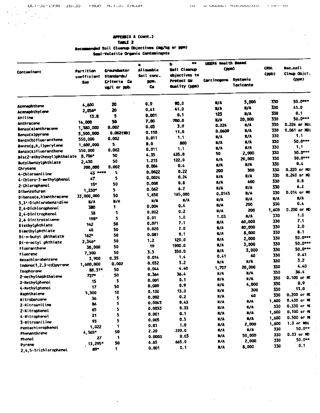$\mathbf{r}$ 

 $\bar{z}$ 

 $\frac{1}{2}$  $\frac{1}{3}$ 

 $\bar{z}$ 

APPENDIX A (cont.) TABLE 2

Recommended Soil Cleanup Objectives (mg/kg or ppm)

|  |  |  |  |  | Semi-Volatile Organic Contaminants |
|--|--|--|--|--|------------------------------------|
|--|--|--|--|--|------------------------------------|

|                                  |               |                             | ٠                         | $\bullet\bullet$<br>ь       | USEPA Health Based            |                                     |       |                      |                            |
|----------------------------------|---------------|-----------------------------|---------------------------|-----------------------------|-------------------------------|-------------------------------------|-------|----------------------|----------------------------|
| Contaminant                      |               | Partition<br>coefficient    | Groundwater<br>Standards/ | Allowable<br>Soit conc.     | Soil Cleanup<br>objectives to | (ppm)                               |       | <b>CRGL</b><br>(ppb) | lec, soi l<br>Cinip Objet. |
|                                  | Koc           | Criteria Cu<br>un/l or pob. | pps.<br>Cs.               | Protect GU<br>Quality (ppm) | Carc inogent                  | <b>Systemic</b><br><b>Toxicants</b> |       | (ppn)                |                            |
|                                  | 4,600         | 20                          | 0.9                       | 90.0                        | WA.                           | 5,000                               | 330   | 50.0***              |                            |
| <b>Acenaphthene</b>              | 2,056*        | 20                          | 0,41                      | 41.0                        | M <sub>A</sub>                | $\frac{1}{2}$                       | 330   | 41.0                 |                            |
| Acenaphthylene                   | 13.8          | 5                           | 0.001                     | 0.1                         | 123                           | $\frac{M}{A}$                       | 330   | 0.1                  |                            |
| Aniline                          | 14,000        | 50                          | 7.00                      | 700.0                       | W/A                           | 20,000                              | 330   | 50.0 ***             |                            |
| <b>Anthracene</b>                | 1,380,000     | 0.002                       | 0.03                      | 3.0                         | 0.224                         | N/A                                 | 330   | <b>0.224 or MDI</b>  |                            |
| Benzo(a)anthraceme               | 5,500,000     | 0.002(10)                   | 0.110                     | 11.0                        | 0.0609                        | N/A                                 | 330   | 0.061 or MDI         |                            |
| Benzo(a)pyrene                   | 550,000       | 0.002                       | 0.011                     | 1.1                         | <b>K/A</b>                    | X/A                                 | 330   | 1.1                  |                            |
| Benzo(b) fluoranthene            | 1,600,000     | 5.                          | 8.0                       | 800                         | u/A                           | M                                   | 330   | $50.0***$            |                            |
| Benzo(g,h,i)perylene             | 550,000       | 0.002                       | 0.011                     | 1.1                         | N/A                           | K/A                                 | 330   | 1.1                  |                            |
| $\texttt{Senzo(k)}$ fiuoranthene | $8,706*$      | 50                          | 4.35                      | 435.0                       | 50                            | 2,000                               | 330   | 50.0***              |                            |
| bis(2-ethylhexyl)phthelate       | 2,430         | 50                          | 1.215                     | 122.0                       | n/A                           | 20,000                              | 330   | 50.0***              |                            |
| Butylbenzylphthlate              | 200,000       | 0.002                       | 0.004                     | 0.4                         | $\frac{1}{2}$                 | N/A                                 | 330   | 0.4                  |                            |
| Chrysene                         | $43$ area     | 5                           | 0.0022                    | 0.22                        | 200                           | 300                                 | 330   | 0.220 or MD          |                            |
| 4-Chloroaniline                  | 47            | 5                           | 0.0024                    | 0.24                        | N/A                           | X/A                                 | 330   | 0.240 or MC          |                            |
| 4-Chloro-3-methylphenol          | 15*           | 50                          | 0.008                     | 0.8                         | K/A                           | 400                                 | 330   | 0.8                  |                            |
| 2-Chlorophenol                   | 1,230*        | 5.                          | 0.062                     | 6.2                         | M/A                           | $N/\lambda$                         | 330   | 6.2                  |                            |
| Dibenzofuran                     | 33,000,000    | 50                          | 1,650                     | 165,000                     | 0.0143                        | K/A                                 | 330   | 0.014 or MD          |                            |
| Dibenzo(a,h)anthracene           | $\frac{1}{2}$ | N/A                         | N/A                       | $M/\lambda$                 | N/A                           | N/A                                 | N/A   | N/A                  |                            |
| 3,3'-Dichlorobenzidine           | 700           | 1.                          | 0.004                     | 0.4                         | K/A                           | 200                                 | 330   | 0.4                  |                            |
| 2.4-Dichlorophenal               | 38            | 5                           | 0.002                     | 0.2                         | M/A                           | 200                                 | 1,600 | $0.200$ or $100$     |                            |
| 2.4-Dinitrophenol                | 198*          | 5                           | 0.01                      | 1.0                         | 1.03                          | N/A                                 | 330   | 1.0                  |                            |
| 2.6 Dinitrotoluene               | 142           | 50                          | 0.071                     | 7.1                         | W/A                           | 60,000                              | 330   | 7.1                  |                            |
| Diethylphthlate                  | 40            | 50                          | 0.020                     | 2.0                         | N/A                           | 80,000                              | 330   | 2.0                  |                            |
| Dimethylphthlate                 | $162*$        | 50                          | 0.081                     | $8 - 1$                     | K/A                           | 8,000                               | 330   | 8.1                  |                            |
| Di-n-butyl phthalate             | 2,346*        | 50                          | 1.2                       | 120.0                       | N/A                           | 2,000                               | 330   | 50.0***              |                            |
| Di-n-octyl phthlate              | 38,000        | 50                          | 19                        | 1900.0                      | N/A                           | 3,000                               | 330   | 50.0***              |                            |
| <b>Fluoranthene</b>              | 7,300         | 50                          | 3.5                       | 350.0                       | N/A                           | 3,000                               | 330   | 50.0 ***             |                            |
| Fluorene                         | 3,900         | 0.35                        | 0.014                     | 1.4                         | 0.41                          | 60                                  | 330   | 0.41                 |                            |
| <b>Hexachlorobenzene</b>         | 1,600,000     | 0.002                       | 0.032                     | 3.2                         | M/A                           | $x/\lambda$                         | 330   | 3.2                  |                            |
| Indeno(1,2,3-cd)pyrene           | 88.31*        | 50                          | 0.044                     | 4.40                        | 1,707                         | 20,000                              | 330   | 4.40                 |                            |
| Isophorone                       | 727*          | 50                          | 0.364                     | 36.4                        | K/A                           | N/A                                 | 330   | 36.4                 |                            |
| 2-methylnaphthalene              | 15            | 5                           | 0.001                     | 0.1                         | N/A                           | N/A                                 | 330   | 0.100 or MD          |                            |
| 2-Nethylphenol                   | 17            | 50                          | 0.009                     | 0.9                         | 1/4                           | 4,000                               | 330   | 0,9                  |                            |
| 4-Nethylphenol                   | 1.300         | 10                          | 0.130                     | 13.0                        | N/A                           | 300                                 | 330   | 13.0                 |                            |
| Naphthalene                      | 36            | 5                           | 0.002                     | 0.2                         | X/A                           | 40                                  | 330   | 0.200 or MC          |                            |
| Nitrobenzene                     | 86            | 5                           | 0.0043                    | 0.43                        | K/A                           | <b>W/A</b>                          | 1,600 | 0.430 or MC          |                            |
| 2-Nitroaniline                   | 65            | 5                           | 0,0033                    | 0.33                        | N/A                           | K/A                                 | 330   | 0.330 or MX          |                            |
| 2-Nitrophenol                    | 21            | 5                           | 0.001                     | 0.1                         | N/A                           | k/A                                 | 1,600 | 0.100 or MK          |                            |
| 4-Nitrophenol                    | 93            | 5                           | 0.005                     | 0.5                         | N/A                           | N/A                                 | 1,600 | 0.500 or M           |                            |
| 3-Mitroaniline                   | 1,022         | 1                           | 0.01                      | 1.0                         | N/A                           | 2,000                               | 1,600 | $1.0$ or HDL         |                            |
| Pentachlorophenol                | $4,365^*$     | 50                          | 2.20                      | 220.0                       | K/A                           | N/A                                 | 330   | 50.0**               |                            |
| Phenanthrene                     | 27            | 1                           | 0.0003                    | 0.03                        | N/A                           | 50,000                              | 330   | $0.03$ or $10$       |                            |
| Phenol                           | $13,295^*$    | 50                          | 6.65                      | 665.0                       | $M_A$                         | 2,000                               | 330   | 50.0**               |                            |
| Pyrene                           | $89*$         | 1.                          | 0.001                     | 0.1                         | $x/\lambda$                   | 8,000                               | 330   | 0,1                  |                            |
| 2,4,5-Trichlorophenol            |               |                             |                           |                             |                               |                                     |       |                      |                            |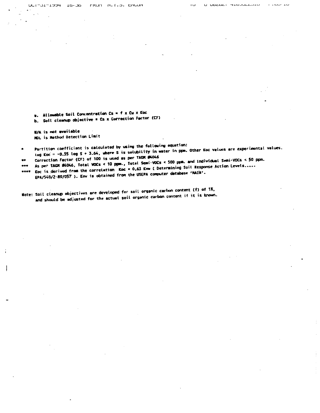UUT-JITIJJ4 ID-JD FRUIT N.T.J. ENUM

 $\frac{1}{2}$  .  $\frac{1}{2}$ 

 $\bullet$ . Allowable Soil Concentration Cs = f x Cw x Koc b. Soil cleanup objective \* Cs x Correction Factor (CF)

W/A is not available MDL is Method Detection Limit

Partition coefficient is calculated by using the following equation: tog Koc = -0.55 log S + 3.64, where S is solubility in water in ppm. Other Koc values are experimental values.

Correction Factor (CF) of 100 is used as per TACR #4046 As per TAGN #4046, Total VOCs < 10 ppm., Total Semi-VOCs < 500 ppm. and Individual Semi-VOCs < 50 ppm.

ever Koc is derived from the correlation Koc = 0.63 Kow ( Determining Soil Response Action Levels..... EPA/540/2-89/057). Kow is obtained from the USEPA computer detabase 'MAIN'.

Note: Soil cleanup objectives are developed for soil organic carbon content (f) of 1%, and should be adjusted for the actual soil organic carbon content if it is known.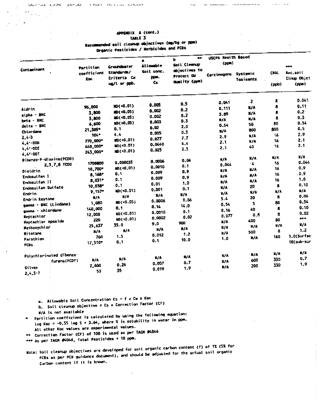$\mathcal{L}^{\text{max}}$ 

**INDIANALIZE CROCK** 

U QUEDET TEDUCEDED

APPENDIX A (cont.)

TABLE 3

Recommended soil cleanup objectives (mg/kg or ppm) / Nerbicides and PCBs T.

|                                                              |                                        | Organic Pesticines / Neiule                                     |                                                    | $\bullet$                                                                | USEPA Health Based                     |                              |                       |                                           |
|--------------------------------------------------------------|----------------------------------------|-----------------------------------------------------------------|----------------------------------------------------|--------------------------------------------------------------------------|----------------------------------------|------------------------------|-----------------------|-------------------------------------------|
| Contaminant                                                  | Partition<br>coefficient<br><b>Koc</b> | <b>Groundwater</b><br>Standards/<br>Criteria Cu<br>un/l or ppb. | 8<br><b>At Lowable</b><br>Soil conc.<br>pps.<br>Cs | ь<br>Soit Cleanup<br>objectives to<br>Protect GW<br><b>Quality</b> (ppm) | (p, n)<br>Carcinogens                  | Systemic<br>Toxicants        | <b>CROL</b><br>(ppb)  | $***$<br>Rec.soil<br>Cinup Objet<br>(ppm) |
| Aldrin                                                       | 96,000<br>3,800                        | MD(<0.01)<br>ND(<0.05)                                          | 0.005<br>0.002                                     | 0.5<br>0.2                                                               | 0.041<br>0.111                         | $\overline{2}$<br>N/A        | 8<br>8<br>8           | 0.041<br>0.11<br>0.2                      |
| alpha - BHC<br>beta - BHC                                    | 3,800<br>6,600                         | $MO < 0.05$ )<br>MD(<0.05)                                      | 0.002<br>0.003                                     | 0.2<br>0.3                                                               | 3.89<br>N/A                            | N/A<br>N/A<br>50             | 8<br>80               | 0.3<br>0.54                               |
| deits - BHC<br>Chlordane                                     | 21,305*<br>$104 -$                     | 0.1<br>4.4                                                      | 0.02<br>0.005                                      | 2.0<br>0.5                                                               | 0.54<br>$\mathbf{N}/\mathbf{A}$<br>2.9 | 800<br>N/A                   | 800<br>16             | 0.5<br>2.9                                |
| $2.4 - b$<br>$4.4 - 000$<br>$4, 4' - 00E$                    | 770,000*<br>440,000*<br>243,000*       | MD( <0.01)<br>MD(<0.01)<br>$MD(0.01)$                           | 0.077<br>0.0440<br>0.025                           | 7.7<br>$\pmb{4}$ , $\pmb{4}$<br>2.5                                      | 2.1<br>2.1                             | ¥/A<br>40.                   | 16<br>16              | 2.1<br>2.1                                |
| 4.4'-DDT<br>Dibenzo-P-dioxins(PCOD)<br>2,3,7,8 TCDD          | 1709800<br>10,700°                     | 0.000035<br>MO(<0.01)                                           | 0.0006<br>0.0010                                   | 0.06<br>0.1                                                              | N/A<br>0.044                           | N/A<br>$\cdot$<br><b>X/A</b> | N/A<br>16<br>16       | N/A<br>0.044<br>0.9                       |
| <b>Dieldrin</b><br>Endosulfan 1<br>Endosulfan II             | $8,168*$<br>8,031*                     | 0.1<br>0.1                                                      | 0.009<br>0.009<br>0.01                             | 0.9<br>0.9<br>1.0                                                        | N/A<br>$\mathbf{N}/\mathbf{A}$<br>N/A  | $N/\lambda$<br>N/A           | 16<br>16              | .0.9<br>1,0                               |
| Endosulfan Sulfate<br>Endrin                                 | 10,038*<br>9,157*<br>N/A               | 0.1<br>ND(<0.01)<br>N/A                                         | 0.001<br>N/A                                       | 0.1<br>W/A                                                               | N/A<br>$N/\Lambda$<br>5.4              | 20<br>N/A<br>20              | 8<br>$N/\lambda$<br>8 | 0.10<br>N/A<br>0.06                       |
| Endrin keytone<br>gamma - BNC (Lindane)<br>gamma - chiordane | 1,080<br>140,000                       | MD(<0.05)<br>0.1                                                | 0.0006<br>0.14<br>0.0010                           | 0.06<br>14.0<br>0.3                                                      | 0.54<br>0.16                           | 5.<br>40                     | 80<br>8               | 0.54<br>0.10                              |
| <b>Kentachlor</b><br><b>Heptachlor</b> epoxide               | 12,000<br>220<br>25,637                | ND(<0.01)<br>ND(<0.01)<br>35.0                                  | 0.0002<br>9.0                                      | 0.02<br>900                                                              | 0.077<br><b>H/A</b>                    | 0.6<br>400<br>K/A            | 8<br>80<br>N/A        | 0.02<br>***<br>$\mathbf{k}/\mathbf{A}$    |
| Nethoxychior<br>Mitotane<br>Parathion                        | N/A<br>760                             | N/A<br>1.5<br>0.1                                               | W/A<br>0.012<br>0.1                                | K/A<br>1.2<br>10.0                                                       | N/A<br>N/A<br>1.0                      | 500<br><b>N/A</b>            | 8<br>160              | 1.2<br>1.0(Surfac<br>10(sub-sur           |
| <b>PCBS</b><br>Polychlorinated dibenzo-                      | 17,510*                                |                                                                 |                                                    | N/A                                                                      | N/A                                    | N/A                          | K/A                   | <b>M/A</b>                                |
| furans (PCDF)<br><b>Silvex</b><br>$2,4,5-7$                  | N/A<br>2,600<br>53                     | N/A<br>0.26<br>35                                               | N/A<br>0.007<br>0.019                              | 0.7<br>1.9                                                               | N/A<br>X/A                             | 600<br>200                   | 330<br>330            | 0.7<br>1,9                                |

a. Allowable Soil Concentration Cs =  $f \times$  Cw  $\times$  Koc

- b. Soil clearup objective = Cs x Correction Factor (CF)
- N/A is not available

Partition coefficient is calculated by using the following equation:

Log Koc = -0.55 log S + 3.64, where S is solubility in water in ppm.

All other Koc values are experimental values.

\*\* Correction Factor (CF) of 100 is used as per TAGK #4046

"" As per TACM #4046, Total Pesticides < 10 ppm.

Note: Soil cleanup objectives are developed for soil organic carbon content (f) of 1% (S% for PCBs as per PCB guidance document), and should be adjusted for the actual soil organic Carbon content if it is known.